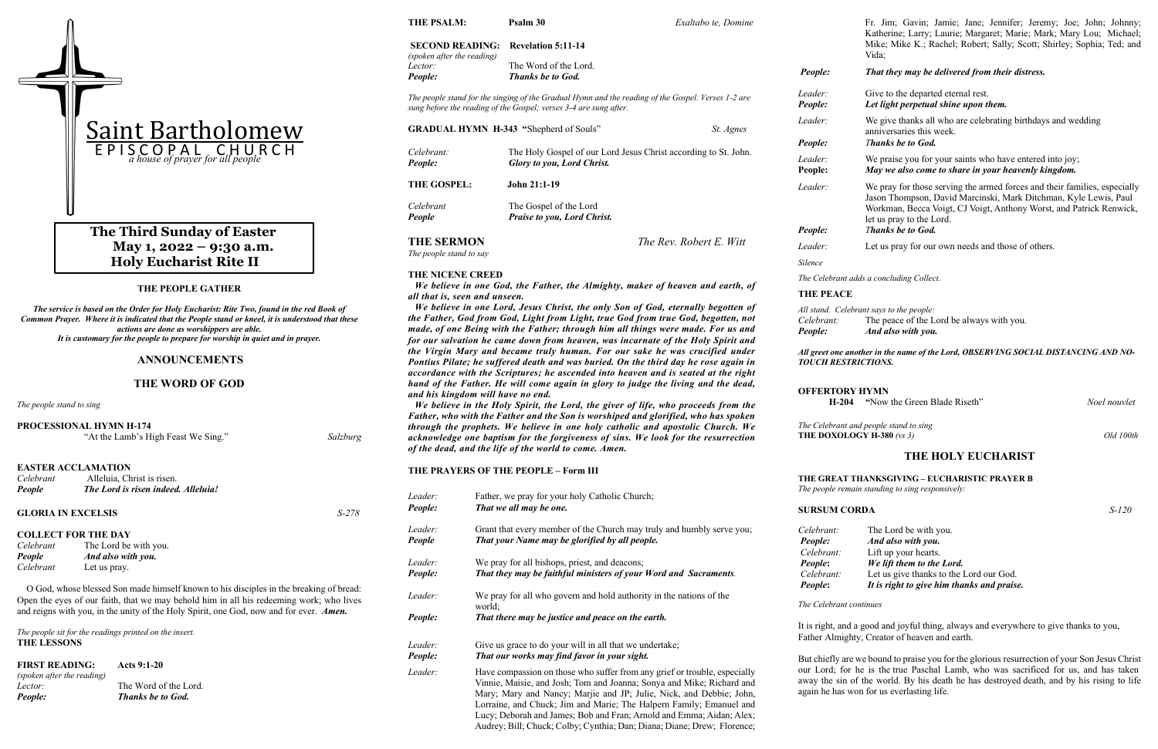#### **THE PEOPLE GATHER**

*The service is based on the Order for Holy Eucharist: Rite Two, found in the red Book of Common Prayer. Where it is indicated that the People stand or kneel, it is understood that these actions are done as worshippers are able. It is customary for the people to prepare for worship in quiet and in prayer.*

#### **ANNOUNCEMENTS**

#### **THE WORD OF GOD**

*The people stand to sing*

|                           | <b>PROCESSIONAL HYMN H-174</b><br>"At the Lamb's High Feast We Sing."                          | Salzburg |
|---------------------------|------------------------------------------------------------------------------------------------|----------|
| Celebrant<br>People       | <b>EASTER ACCLAMATION</b><br>Alleluia, Christ is risen.<br>The Lord is risen indeed, Alleluia! |          |
| <b>GLORIA IN EXCELSIS</b> |                                                                                                | $S-278$  |
| Celebrant                 | <b>COLLECT FOR THE DAY</b><br>The Lord be with you.                                            |          |

*People And also with you. Celebrant* Let us pray.

 O God, whose blessed Son made himself known to his disciples in the breaking of bread: Open the eyes of our faith, that we may behold him in all his redeeming work; who lives and reigns with you, in the unity of the Holy Spirit, one God, now and for ever. *Amen.*

*The people sit for the readings printed on the insert.* **THE LESSONS**

**FIRST READING:****Acts 9:1-20** *(spoken after the reading) Lector:* The Word of the Lord. *People: Thanks be to God.*

# **THE PSALM: Psalm 30** *Exaltabo te, Domine*

*The Celebrant and people stand to sing*  **THE DOXOLOGY H-380** (vs 3) Old 100th

# **SECOND READING: Revelation 5:11-14** *(spoken after the reading) Lector:* The Word of the Lord. *People: Thanks be to God. The people stand for the singing of the Gradual Hymn and the reading of the Gospel. Verses 1-2 are sung before the reading of the Gospel; verses 3-4 are sung after.* **GRADUAL HYMN H-343 "**Shepherd of Souls" *St. Agnes Celebrant:* The Holy Gospel of our Lord Jesus Christ according to St. John. *People: Glory to you, Lord Christ.* **THE GOSPEL: John 21:1-19** *Celebrant* The Gospel of the Lord *People Praise to you, Lord Christ.* **THE SERMON** *The Rev. Robert E. Witt The people stand to say* **THE NICENE CREED** *We believe in one God, the Father, the Almighty, maker of heaven and earth, of all that is, seen and unseen. We believe in one Lord, Jesus Christ, the only Son of God, eternally begotten of the Father, God from God, Light from Light, true God from true God, begotten, not made, of one Being with the Father; through him all things were made. For us and for our salvation he came down from heaven, was incarnate of the Holy Spirit and the Virgin Mary and became truly human. For our sake he was crucified under Pontius Pilate; he suffered death and was buried. On the third day he rose again in accordance with the Scriptures; he ascended into heaven and is seated at the right hand of the Father. He will come again in glory to judge the living and the dead, and his kingdom will have no end. We believe in the Holy Spirit, the Lord, the giver of life, who proceeds from the Father, who with the Father and the Son is worshiped and glorified, who has spoken through the prophets. We believe in one holy catholic and apostolic Church. We acknowledge one baptism for the forgiveness of sins. We look for the resurrection of the dead, and the life of the world to come. Amen.* **THE PRAYERS OF THE PEOPLE – Form III** *Leader:* Father, we pray for your holy Catholic Church; *People: That we all may be one. Leader:* Grant that every member of the Church may truly and humbly serve you; *People That your Name may be glorified by all people. Leader:* We pray for all bishops, priest, and deacons; *People: That they may be faithful ministers of your Word and Sacraments. Leader:* We pray for all who govern and hold authority in the nations of the world; *People: That there may be justice and peace on the earth. Leader*: Give us grace to do your will in all that we undertake; *People: That our works may find favor in your sight. Silence* **THE PEACE**

# **The Third Sunday of Easter May 1, 2022 – 9:30 a.m. Holy Eucharist Rite II**

*Leader:* Have compassion on those who suffer from any grief or trouble, especially Vinnie, Maisie, and Josh; Tom and Joanna; Sonya and Mike; Richard and Mary; Mary and Nancy; Marjie and JP; Julie, Nick, and Debbie; John, Lorraine, and Chuck; Jim and Marie; The Halpern Family; Emanuel and Lucy; Deborah and James; Bob and Fran; Arnold and Emma; Aidan; Alex; Audrey; Bill; Chuck; Colby; Cynthia; Dan; Diana; Diane; Drew; Florence;

Fr. Jim; Gavin; Jamie; Jane; Jennifer; Jeremy; Joe; John; Johnny; Katherine; Larry; Laurie; Margaret; Marie; Mark; Mary Lou; Michael; Mike; Mike K.; Rachel; Robert; Sally; Scott; Shirley; Sophia; Ted; and Vida;

*People: That they may be delivered from their distress.*

*Leader:* Give to the departed eternal rest. *People: Let light perpetual shine upon them.*

*Leader:* We give thanks all who are celebrating birthdays and wedding anniversaries this week. *People: Thanks be to God.*

*Leader:* We praise you for your saints who have entered into joy; **People:** *May we also come to share in your heavenly kingdom.*

*Leader:* We pray for those serving the armed forces and their families, especially Jason Thompson, David Marcinski, Mark Ditchman, Kyle Lewis, Paul Workman, Becca Voigt, CJ Voigt, Anthony Worst, and Patrick Renwick, let us pray to the Lord. *People: Thanks be to God.*

*Leader:* Let us pray for our own needs and those of others.

*The Celebrant adds a concluding Collect.*

*All stand. Celebrant says to the people: Celebrant:* The peace of the Lord be always with you. *People: And also with you.*

*All greet one another in the name of the Lord, OBSERVING SOCIAL DISTANCING AND NO-*

*TOUCH RESTRICTIONS.* 

# **OFFERTORY HYMN**

 **H-204 "**Now the Green Blade Riseth" *Noel nouvlet*

### **THE HOLY EUCHARIST**

#### **THE GREAT THANKSGIVING – EUCHARISTIC PRAYER B**

*The people remain standing to sing responsively:* 

### **SURSUM CORDA** *S-120*

*Celebrant:* The Lord be with you. *People: And also with you. Celebrant:* Lift up your hearts. *People***:** *We lift them to the Lord. Celebrant:* Let us give thanks to the Lord our God. *People***:** *It is right to give him thanks and praise.*

*The Celebrant continues*

It is right, and a good and joyful thing, always and everywhere to give thanks to you, Father Almighty, Creator of heaven and earth.

But chiefly are we bound to praise you for the glorious resurrection of your Son Jesus Christ our Lord; for he is the true Paschal Lamb, who was sacrificed for us, and has taken away the sin of the world. By his death he has destroyed death, and by his rising to life again he has won for us everlasting life.